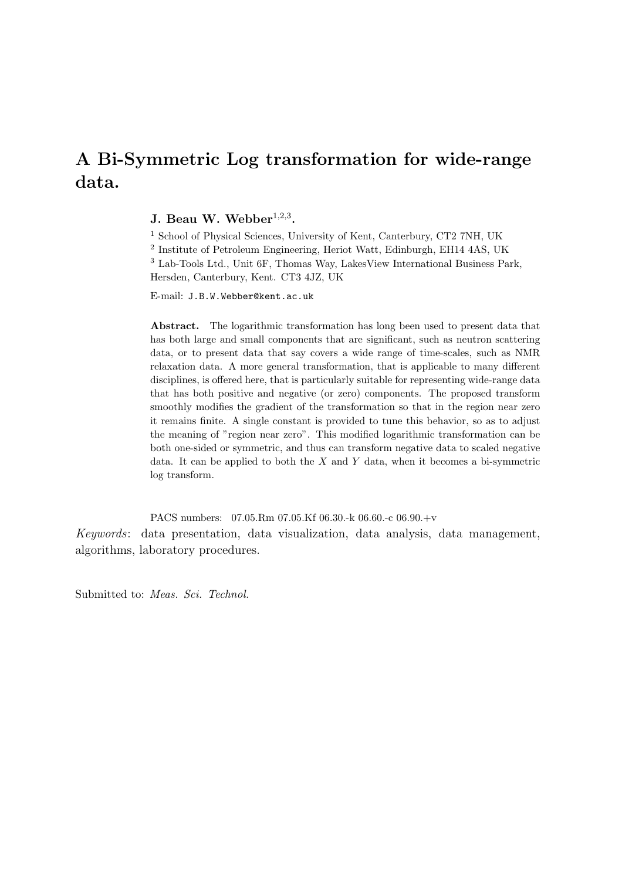# A Bi-Symmetric Log transformation for wide-range data.

## J. Beau W. Webber $1,2,3$ .

<sup>1</sup> School of Physical Sciences, University of Kent, Canterbury, CT2 7NH, UK

2 Institute of Petroleum Engineering, Heriot Watt, Edinburgh, EH14 4AS, UK <sup>3</sup> Lab-Tools Ltd., Unit 6F, Thomas Way, LakesView International Business Park,

Hersden, Canterbury, Kent. CT3 4JZ, UK

E-mail: J.B.W.Webber@kent.ac.uk

Abstract. The logarithmic transformation has long been used to present data that has both large and small components that are significant, such as neutron scattering data, or to present data that say covers a wide range of time-scales, such as NMR relaxation data. A more general transformation, that is applicable to many different disciplines, is offered here, that is particularly suitable for representing wide-range data that has both positive and negative (or zero) components. The proposed transform smoothly modifies the gradient of the transformation so that in the region near zero it remains finite. A single constant is provided to tune this behavior, so as to adjust the meaning of "region near zero". This modified logarithmic transformation can be both one-sided or symmetric, and thus can transform negative data to scaled negative data. It can be applied to both the  $X$  and  $Y$  data, when it becomes a bi-symmetric log transform.

PACS numbers: 07.05.Rm 07.05.Kf 06.30.-k 06.60.-c 06.90.+v Keywords: data presentation, data visualization, data analysis, data management, algorithms, laboratory procedures.

Submitted to: Meas. Sci. Technol.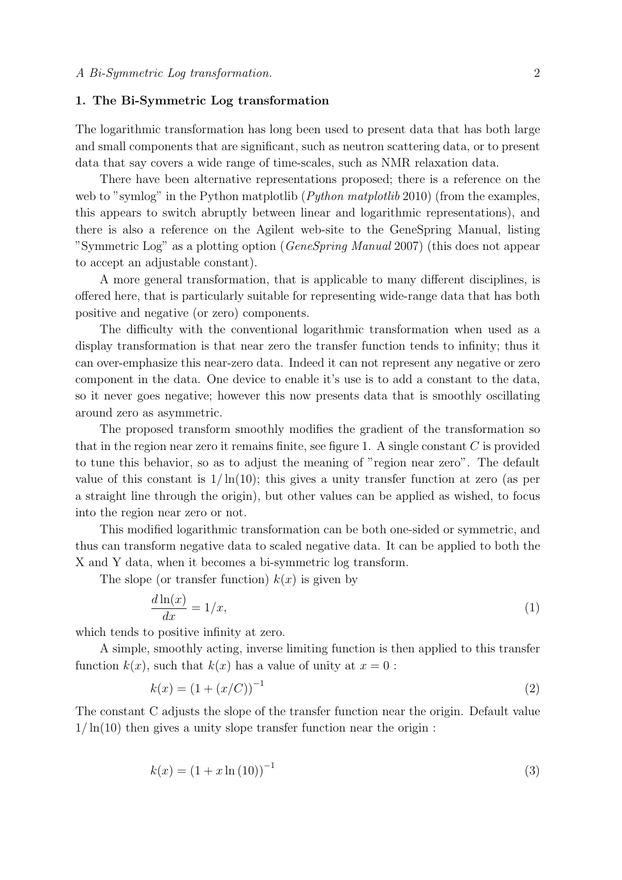#### 1. The Bi-Symmetric Log transformation

The logarithmic transformation has long been used to present data that has both large and small components that are significant, such as neutron scattering data, or to present data that say covers a wide range of time-scales, such as NMR relaxation data.

There have been alternative representations proposed; there is a reference on the web to "symlog" in the Python matplotlib (*Python matplotlib* 2010) (from the examples, this appears to switch abruptly between linear and logarithmic representations), and there is also a reference on the Agilent web-site to the GeneSpring Manual, listing "Symmetric Log" as a plotting option (GeneSpring Manual 2007) (this does not appear to accept an adjustable constant).

A more general transformation, that is applicable to many different disciplines, is offered here, that is particularly suitable for representing wide-range data that has both positive and negative (or zero) components.

The difficulty with the conventional logarithmic transformation when used as a display transformation is that near zero the transfer function tends to infinity; thus it can over-emphasize this near-zero data. Indeed it can not represent any negative or zero component in the data. One device to enable it's use is to add a constant to the data, so it never goes negative; however this now presents data that is smoothly oscillating around zero as asymmetric.

The proposed transform smoothly modifies the gradient of the transformation so that in the region near zero it remains finite, see figure 1. A single constant  $C$  is provided to tune this behavior, so as to adjust the meaning of "region near zero". The default value of this constant is  $1/\ln(10)$ ; this gives a unity transfer function at zero (as per a straight line through the origin), but other values can be applied as wished, to focus into the region near zero or not.

This modified logarithmic transformation can be both one-sided or symmetric, and thus can transform negative data to scaled negative data. It can be applied to both the X and Y data, when it becomes a bi-symmetric log transform.

The slope (or transfer function)  $k(x)$  is given by

$$
\frac{d\ln(x)}{dx} = 1/x,\tag{1}
$$

which tends to positive infinity at zero.

A simple, smoothly acting, inverse limiting function is then applied to this transfer function  $k(x)$ , such that  $k(x)$  has a value of unity at  $x = 0$ :

$$
k(x) = (1 + (x/C))^{-1}
$$
 (2)

The constant C adjusts the slope of the transfer function near the origin. Default value  $1/\ln(10)$  then gives a unity slope transfer function near the origin :

$$
k(x) = (1 + x \ln(10))^{-1}
$$
\n(3)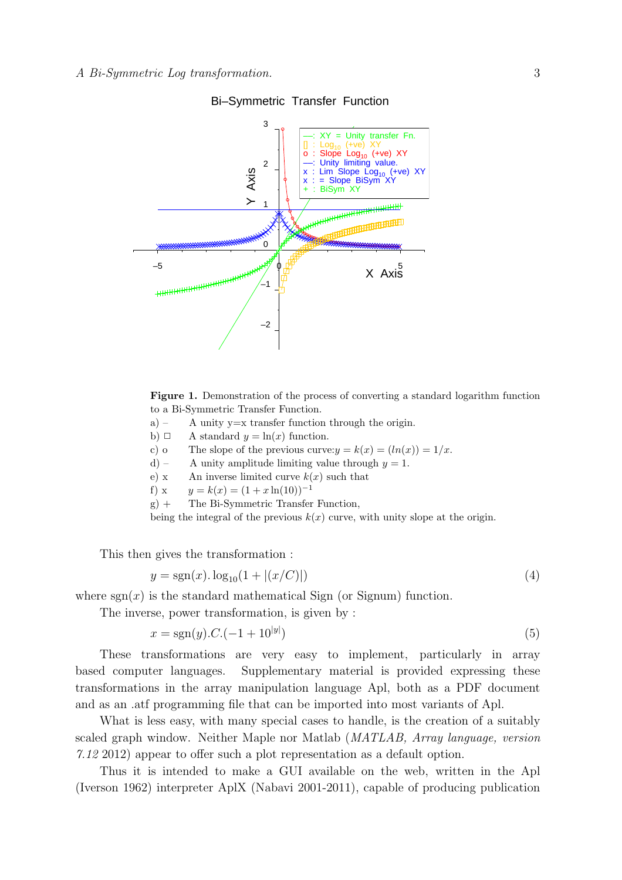

Bi–Symmetric Transfer Function

Figure 1. Demonstration of the process of converting a standard logarithm function to a Bi-Symmetric Transfer Function.

- a) A unity  $y=x$  transfer function through the origin.
- b)  $\Box$  A standard  $y = \ln(x)$  function.
- c) o The slope of the previous curve:  $y = k(x) = (ln(x)) = 1/x$ .
- d) A unity amplitude limiting value through  $y = 1$ .
- e) x An inverse limited curve  $k(x)$  such that
- f) x  $y = k(x) = (1 + x \ln(10))^{-1}$
- g) + The Bi-Symmetric Transfer Function,

being the integral of the previous  $k(x)$  curve, with unity slope at the origin.

This then gives the transformation :

$$
y = sgn(x) \cdot log_{10}(1 + |(x/C)|) \tag{4}
$$

where  $sgn(x)$  is the standard mathematical Sign (or Signum) function.

The inverse, power transformation, is given by :

$$
x = sgn(y).C.(-1+10^{|y|})
$$
\n(5)

These transformations are very easy to implement, particularly in array based computer languages. Supplementary material is provided expressing these transformations in the array manipulation language Apl, both as a PDF document and as an .atf programming file that can be imported into most variants of Apl.

What is less easy, with many special cases to handle, is the creation of a suitably scaled graph window. Neither Maple nor Matlab (MATLAB, Array language, version 7.12 2012) appear to offer such a plot representation as a default option.

Thus it is intended to make a GUI available on the web, written in the Apl (Iverson 1962) interpreter AplX (Nabavi 2001-2011), capable of producing publication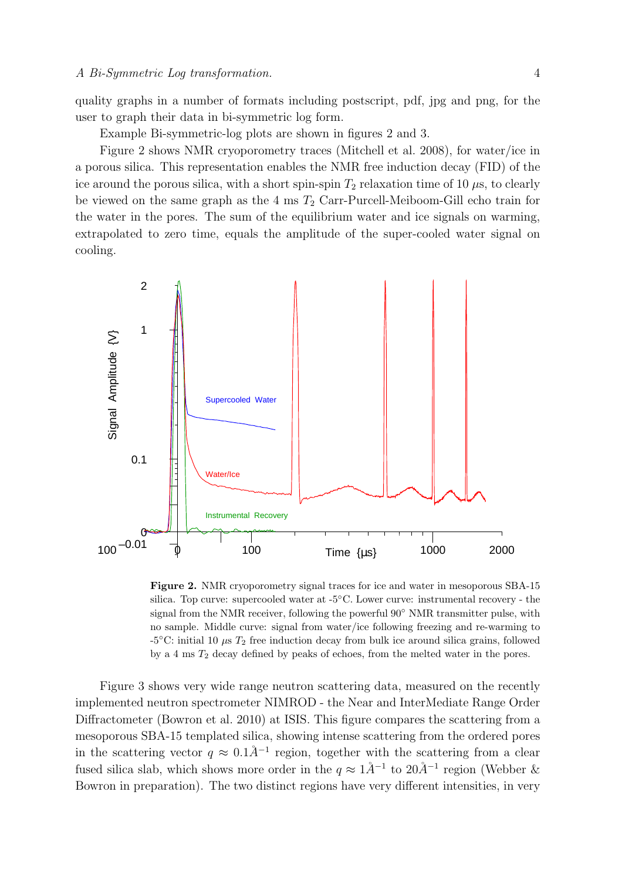quality graphs in a number of formats including postscript, pdf, jpg and png, for the user to graph their data in bi-symmetric log form.

Example Bi-symmetric-log plots are shown in figures 2 and 3.

Figure 2 shows NMR cryoporometry traces (Mitchell et al. 2008), for water/ice in a porous silica. This representation enables the NMR free induction decay (FID) of the ice around the porous silica, with a short spin-spin  $T_2$  relaxation time of 10  $\mu$ s, to clearly be viewed on the same graph as the 4 ms  $T_2$  Carr-Purcell-Meiboom-Gill echo train for the water in the pores. The sum of the equilibrium water and ice signals on warming, extrapolated to zero time, equals the amplitude of the super-cooled water signal on cooling.



Figure 2. NMR cryoporometry signal traces for ice and water in mesoporous SBA-15 silica. Top curve: supercooled water at -5◦C. Lower curve: instrumental recovery - the signal from the NMR receiver, following the powerful 90<sup>°</sup> NMR transmitter pulse, with no sample. Middle curve: signal from water/ice following freezing and re-warming to -5 $\degree$ C: initial 10  $\mu$ s  $T_2$  free induction decay from bulk ice around silica grains, followed by a 4 ms  $T_2$  decay defined by peaks of echoes, from the melted water in the pores.

Figure 3 shows very wide range neutron scattering data, measured on the recently implemented neutron spectrometer NIMROD - the Near and InterMediate Range Order Diffractometer (Bowron et al. 2010) at ISIS. This figure compares the scattering from a mesoporous SBA-15 templated silica, showing intense scattering from the ordered pores in the scattering vector  $q \approx 0.1\AA^{-1}$  region, together with the scattering from a clear fused silica slab, which shows more order in the  $q \approx 1\AA^{-1}$  to  $20\AA^{-1}$  region (Webber & Bowron in preparation). The two distinct regions have very different intensities, in very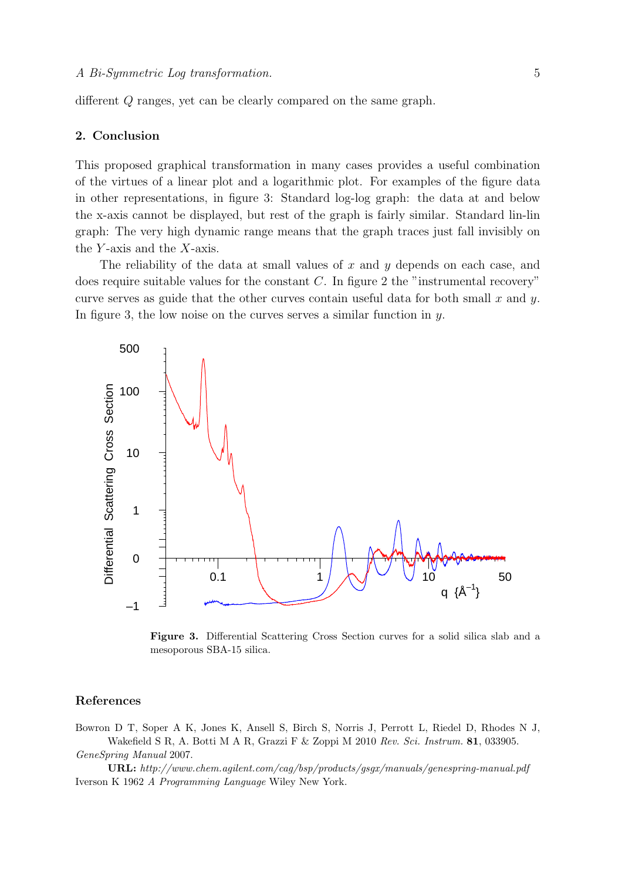different Q ranges, yet can be clearly compared on the same graph.

### 2. Conclusion

This proposed graphical transformation in many cases provides a useful combination of the virtues of a linear plot and a logarithmic plot. For examples of the figure data in other representations, in figure 3: Standard log-log graph: the data at and below the x-axis cannot be displayed, but rest of the graph is fairly similar. Standard lin-lin graph: The very high dynamic range means that the graph traces just fall invisibly on the  $Y$ -axis and the  $X$ -axis.

The reliability of the data at small values of  $x$  and  $y$  depends on each case, and does require suitable values for the constant  $C$ . In figure 2 the "instrumental recovery" curve serves as guide that the other curves contain useful data for both small  $x$  and  $y$ . In figure 3, the low noise on the curves serves a similar function in  $y$ .



Figure 3. Differential Scattering Cross Section curves for a solid silica slab and a mesoporous SBA-15 silica.

#### References

Bowron D T, Soper A K, Jones K, Ansell S, Birch S, Norris J, Perrott L, Riedel D, Rhodes N J, Wakefield S R, A. Botti M A R, Grazzi F & Zoppi M 2010 Rev. Sci. Instrum. 81, 033905. GeneSpring Manual 2007.

URL: http://www.chem.agilent.com/cag/bsp/products/gsgx/manuals/genespring-manual.pdf Iverson K 1962 A Programming Language Wiley New York.